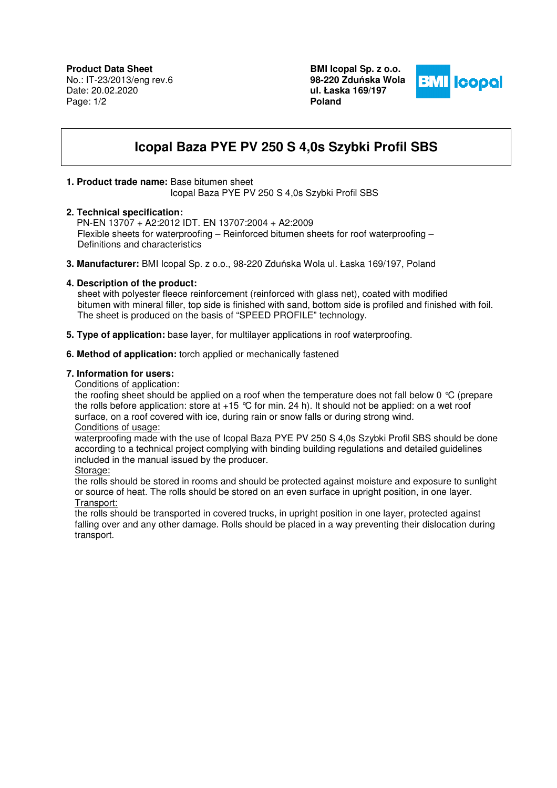**BMI Icopal Sp. z o.o. 98-220 Zdu**ń**ska Wola ul. Łaska 169/197 Poland** 



# **Icopal Baza PYE PV 250 S 4,0s Szybki Profil SBS**

# **1. Product trade name:** Base bitumen sheet

Icopal Baza PYE PV 250 S 4,0s Szybki Profil SBS

### **2. Technical specification:**

 PN-EN 13707 + A2:2012 IDT. EN 13707:2004 + A2:2009 Flexible sheets for waterproofing – Reinforced bitumen sheets for roof waterproofing – Definitions and characteristics

**3. Manufacturer:** BMI Icopal Sp. z o.o., 98-220 Zduńska Wola ul. Łaska 169/197, Poland

# **4. Description of the product:**

 sheet with polyester fleece reinforcement (reinforced with glass net), coated with modified bitumen with mineral filler, top side is finished with sand, bottom side is profiled and finished with foil. The sheet is produced on the basis of "SPEED PROFILE" technology.

**5. Type of application:** base layer, for multilayer applications in roof waterproofing.

# **6. Method of application:** torch applied or mechanically fastened

### **7. Information for users:**

Conditions of application:

the roofing sheet should be applied on a roof when the temperature does not fall below 0 °C (prepare the rolls before application: store at +15 °C for min. 24 h). It should not be applied: on a wet roof surface, on a roof covered with ice, during rain or snow falls or during strong wind. Conditions of usage:

waterproofing made with the use of Icopal Baza PYE PV 250 S 4,0s Szybki Profil SBS should be done according to a technical project complying with binding building regulations and detailed guidelines included in the manual issued by the producer.

Storage:

the rolls should be stored in rooms and should be protected against moisture and exposure to sunlight or source of heat. The rolls should be stored on an even surface in upright position, in one layer. Transport:

the rolls should be transported in covered trucks, in upright position in one layer, protected against falling over and any other damage. Rolls should be placed in a way preventing their dislocation during transport.